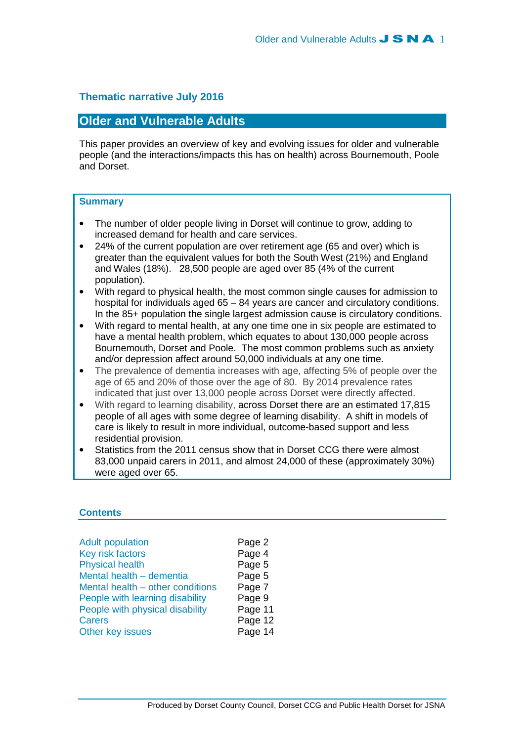# **Thematic narrative July 2016**

# **Older and Vulnerable Adults**

This paper provides an overview of key and evolving issues for older and vulnerable people (and the interactions/impacts this has on health) across Bournemouth, Poole and Dorset.

## **Summary**

- The number of older people living in Dorset will continue to grow, adding to increased demand for health and care services.
- 24% of the current population are over retirement age (65 and over) which is greater than the equivalent values for both the South West (21%) and England and Wales (18%). 28,500 people are aged over 85 (4% of the current population).
- With regard to physical health, the most common single causes for admission to hospital for individuals aged 65 – 84 years are cancer and circulatory conditions. In the 85+ population the single largest admission cause is circulatory conditions.
- With regard to mental health, at any one time one in six people are estimated to have a mental health problem, which equates to about 130,000 people across Bournemouth, Dorset and Poole. The most common problems such as anxiety and/or depression affect around 50,000 individuals at any one time.
- The prevalence of dementia increases with age, affecting 5% of people over the age of 65 and 20% of those over the age of 80. By 2014 prevalence rates indicated that just over 13,000 people across Dorset were directly affected.
- With regard to learning disability, across Dorset there are an estimated 17,815 people of all ages with some degree of learning disability. A shift in models of care is likely to result in more individual, outcome-based support and less residential provision.
- Statistics from the 2011 census show that in Dorset CCG there were almost 83,000 unpaid carers in 2011, and almost 24,000 of these (approximately 30%) were aged over 65.

## **Contents**

| <b>Adult population</b>          | Page 2  |
|----------------------------------|---------|
| Key risk factors                 | Page 4  |
| <b>Physical health</b>           | Page 5  |
| Mental health - dementia         | Page 5  |
| Mental health - other conditions | Page 7  |
| People with learning disability  | Page 9  |
| People with physical disability  | Page 11 |
| <b>Carers</b>                    | Page 12 |
| Other key issues                 | Page 14 |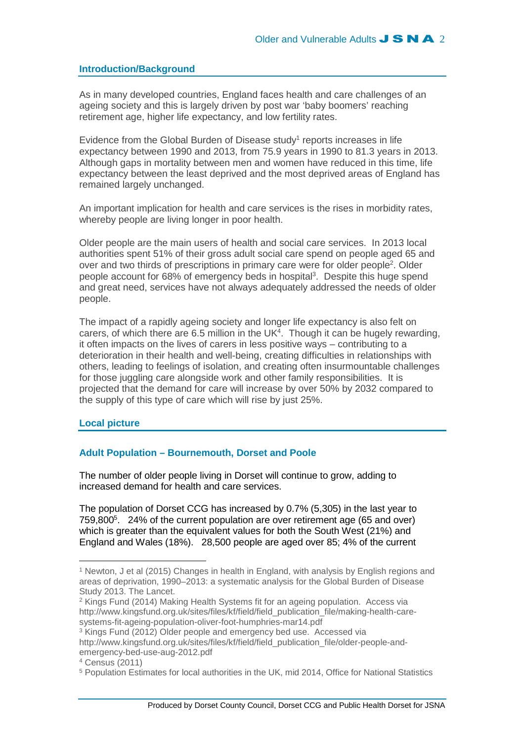## **Introduction/Background**

As in many developed countries, England faces health and care challenges of an ageing society and this is largely driven by post war 'baby boomers' reaching retirement age, higher life expectancy, and low fertility rates.

Evidence from the Global Burden of Disease study<sup>1</sup> reports increases in life expectancy between 1990 and 2013, from 75.9 years in 1990 to 81.3 years in 2013. Although gaps in mortality between men and women have reduced in this time, life expectancy between the least deprived and the most deprived areas of England has remained largely unchanged.

An important implication for health and care services is the rises in morbidity rates, whereby people are living longer in poor health.

Older people are the main users of health and social care services. In 2013 local authorities spent 51% of their gross adult social care spend on people aged 65 and over and two thirds of prescriptions in primary care were for older people<sup>2</sup>. Older people account for 68% of emergency beds in hospital<sup>3</sup>. Despite this huge spend and great need, services have not always adequately addressed the needs of older people.

The impact of a rapidly ageing society and longer life expectancy is also felt on carers, of which there are  $6.5$  million in the UK<sup>4</sup>. Though it can be hugely rewarding, it often impacts on the lives of carers in less positive ways – contributing to a deterioration in their health and well-being, creating difficulties in relationships with others, leading to feelings of isolation, and creating often insurmountable challenges for those juggling care alongside work and other family responsibilities. It is projected that the demand for care will increase by over 50% by 2032 compared to the supply of this type of care which will rise by just 25%.

#### **Local picture**

## **Adult Population – Bournemouth, Dorset and Poole**

The number of older people living in Dorset will continue to grow, adding to increased demand for health and care services.

The population of Dorset CCG has increased by 0.7% (5,305) in the last year to 759,800<sup>5</sup> . 24% of the current population are over retirement age (65 and over) which is greater than the equivalent values for both the South West (21%) and England and Wales (18%). 28,500 people are aged over 85; 4% of the current

<sup>1</sup> Newton, J et al (2015) Changes in health in England, with analysis by English regions and areas of deprivation, 1990–2013: a systematic analysis for the Global Burden of Disease Study 2013. The Lancet.

<sup>&</sup>lt;sup>2</sup> Kings Fund (2014) Making Health Systems fit for an ageing population. Access via http://www.kingsfund.org.uk/sites/files/kf/field/field\_publication\_file/making-health-caresystems-fit-ageing-population-oliver-foot-humphries-mar14.pdf

<sup>&</sup>lt;sup>3</sup> Kings Fund (2012) Older people and emergency bed use. Accessed via http://www.kingsfund.org.uk/sites/files/kf/field/field\_publication\_file/older-people-andemergency-bed-use-aug-2012.pdf

<sup>4</sup> Census (2011)

<sup>&</sup>lt;sup>5</sup> Population Estimates for local authorities in the UK, mid 2014, Office for National Statistics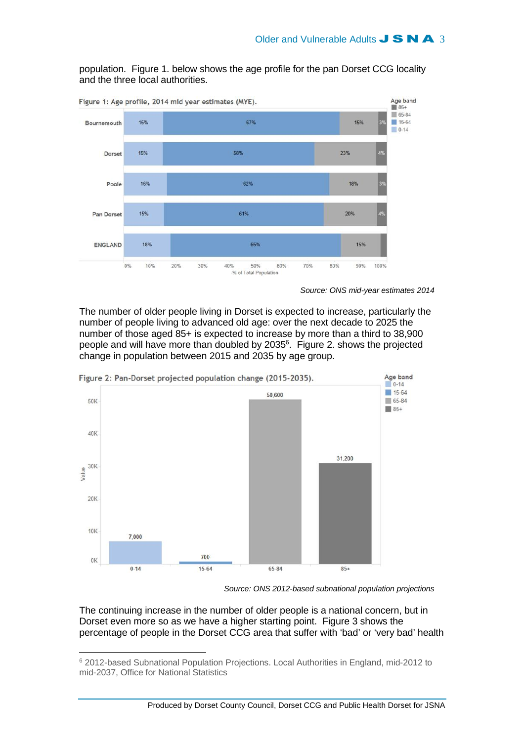

population. Figure 1. below shows the age profile for the pan Dorset CCG locality and the three local authorities.

Source: ONS mid-year estimates 2014

The number of older people living in Dorset is expected to increase, particularly the number of people living to advanced old age: over the next decade to 2025 the number of those aged 85+ is expected to increase by more than a third to 38,900 people and will have more than doubled by 2035<sup>6</sup>. Figure 2. shows the projected change in population between 2015 and 2035 by age group.



Source: ONS 2012-based subnational population projections

The continuing increase in the number of older people is a national concern, but in Dorset even more so as we have a higher starting point. Figure 3 shows the percentage of people in the Dorset CCG area that suffer with 'bad' or 'very bad' health

<sup>&</sup>lt;sup>6</sup> 2012-based Subnational Population Projections. Local Authorities in England, mid-2012 to mid-2037, Office for National Statistics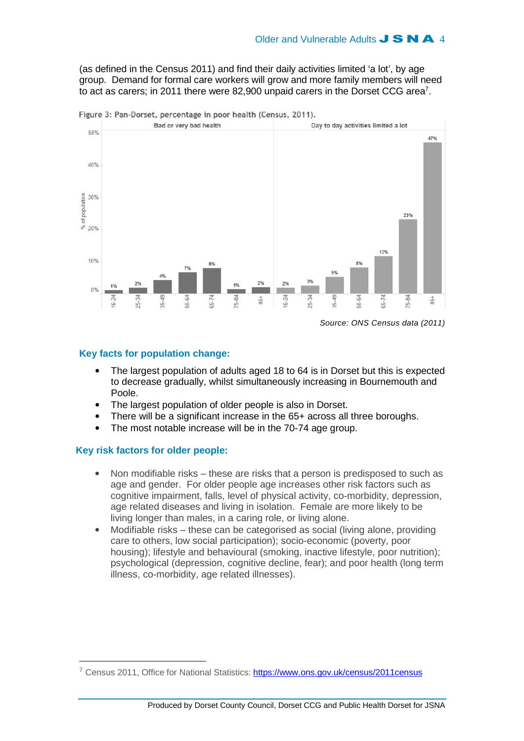(as defined in the Census 2011) and find their daily activities limited 'a lot', by age group. Demand for formal care workers will grow and more family members will need to act as carers; in 2011 there were 82,900 unpaid carers in the Dorset CCG area<sup>7</sup>.



Figure 3: Pan-Dorset, percentage in poor health (Census, 2011).

## **Key facts for population change:**

- The largest population of adults aged 18 to 64 is in Dorset but this is expected to decrease gradually, whilst simultaneously increasing in Bournemouth and Poole.
- The largest population of older people is also in Dorset.
- There will be a significant increase in the 65+ across all three boroughs.
- The most notable increase will be in the 70-74 age group.

## **Key risk factors for older people:**

- Non modifiable risks these are risks that a person is predisposed to such as age and gender. For older people age increases other risk factors such as cognitive impairment, falls, level of physical activity, co-morbidity, depression, age related diseases and living in isolation. Female are more likely to be living longer than males, in a caring role, or living alone.
- Modifiable risks these can be categorised as social (living alone, providing care to others, low social participation); socio-economic (poverty, poor housing); lifestyle and behavioural (smoking, inactive lifestyle, poor nutrition); psychological (depression, cognitive decline, fear); and poor health (long term illness, co-morbidity, age related illnesses).

<sup>7</sup> Census 2011, Office for National Statistics: https://www.ons.gov.uk/census/2011census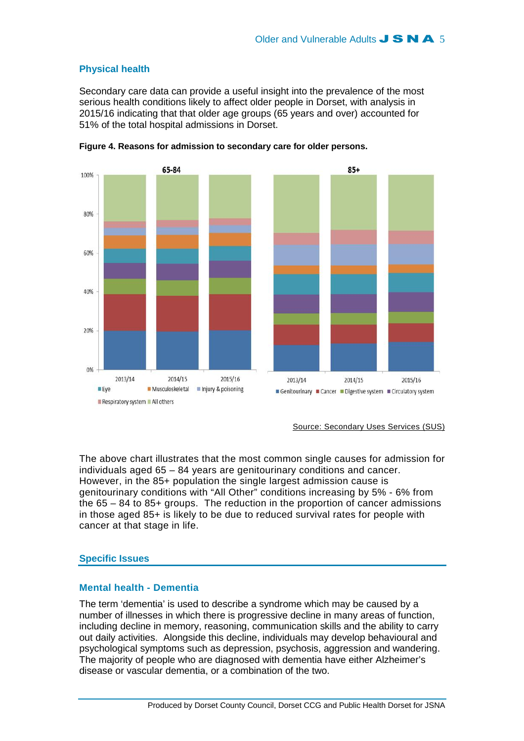# **Physical health**

Secondary care data can provide a useful insight into the prevalence of the most serious health conditions likely to affect older people in Dorset, with analysis in 2015/16 indicating that that older age groups (65 years and over) accounted for 51% of the total hospital admissions in Dorset.



**Figure 4. Reasons for admission to secondary care for older persons.** 

Source: Secondary Uses Services (SUS)

The above chart illustrates that the most common single causes for admission for individuals aged 65 – 84 years are genitourinary conditions and cancer. However, in the 85+ population the single largest admission cause is genitourinary conditions with "All Other" conditions increasing by 5% - 6% from the 65 – 84 to 85+ groups. The reduction in the proportion of cancer admissions in those aged 85+ is likely to be due to reduced survival rates for people with cancer at that stage in life.

# **Specific Issues**

# **Mental health - Dementia**

The term 'dementia' is used to describe a syndrome which may be caused by a number of illnesses in which there is progressive decline in many areas of function, including decline in memory, reasoning, communication skills and the ability to carry out daily activities. Alongside this decline, individuals may develop behavioural and psychological symptoms such as depression, psychosis, aggression and wandering. The majority of people who are diagnosed with dementia have either Alzheimer's disease or vascular dementia, or a combination of the two.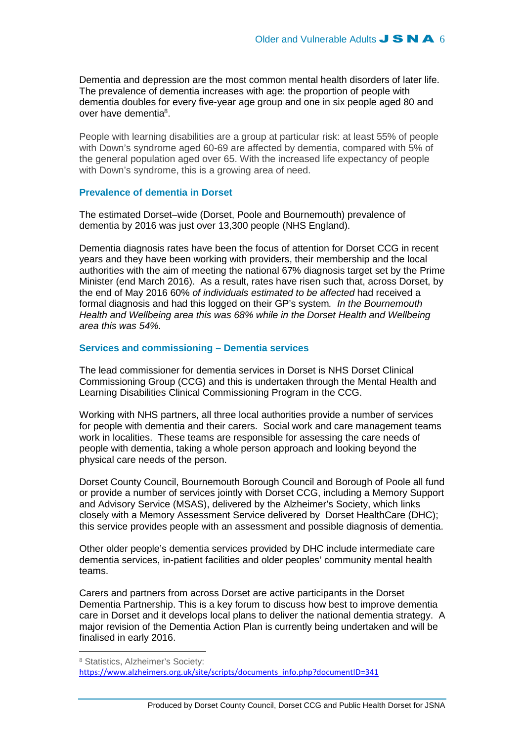Dementia and depression are the most common mental health disorders of later life. The prevalence of dementia increases with age: the proportion of people with dementia doubles for every five-year age group and one in six people aged 80 and over have dementia<sup>8</sup>.

People with learning disabilities are a group at particular risk: at least 55% of people with Down's syndrome aged 60-69 are affected by dementia, compared with 5% of the general population aged over 65. With the increased life expectancy of people with Down's syndrome, this is a growing area of need.

#### **Prevalence of dementia in Dorset**

The estimated Dorset–wide (Dorset, Poole and Bournemouth) prevalence of dementia by 2016 was just over 13,300 people (NHS England).

Dementia diagnosis rates have been the focus of attention for Dorset CCG in recent years and they have been working with providers, their membership and the local authorities with the aim of meeting the national 67% diagnosis target set by the Prime Minister (end March 2016). As a result, rates have risen such that, across Dorset, by the end of May 2016 60% of individuals estimated to be affected had received a formal diagnosis and had this logged on their GP's system. In the Bournemouth Health and Wellbeing area this was 68% while in the Dorset Health and Wellbeing area this was 54%.

### **Services and commissioning – Dementia services**

The lead commissioner for dementia services in Dorset is NHS Dorset Clinical Commissioning Group (CCG) and this is undertaken through the Mental Health and Learning Disabilities Clinical Commissioning Program in the CCG.

Working with NHS partners, all three local authorities provide a number of services for people with dementia and their carers. Social work and care management teams work in localities. These teams are responsible for assessing the care needs of people with dementia, taking a whole person approach and looking beyond the physical care needs of the person.

Dorset County Council, Bournemouth Borough Council and Borough of Poole all fund or provide a number of services jointly with Dorset CCG, including a Memory Support and Advisory Service (MSAS), delivered by the Alzheimer's Society, which links closely with a Memory Assessment Service delivered by Dorset HealthCare (DHC); this service provides people with an assessment and possible diagnosis of dementia.

Other older people's dementia services provided by DHC include intermediate care dementia services, in-patient facilities and older peoples' community mental health teams.

Carers and partners from across Dorset are active participants in the Dorset Dementia Partnership. This is a key forum to discuss how best to improve dementia care in Dorset and it develops local plans to deliver the national dementia strategy. A major revision of the Dementia Action Plan is currently being undertaken and will be finalised in early 2016.

<sup>8</sup> Statistics, Alzheimer's Society: https://www.alzheimers.org.uk/site/scripts/documents\_info.php?documentID=341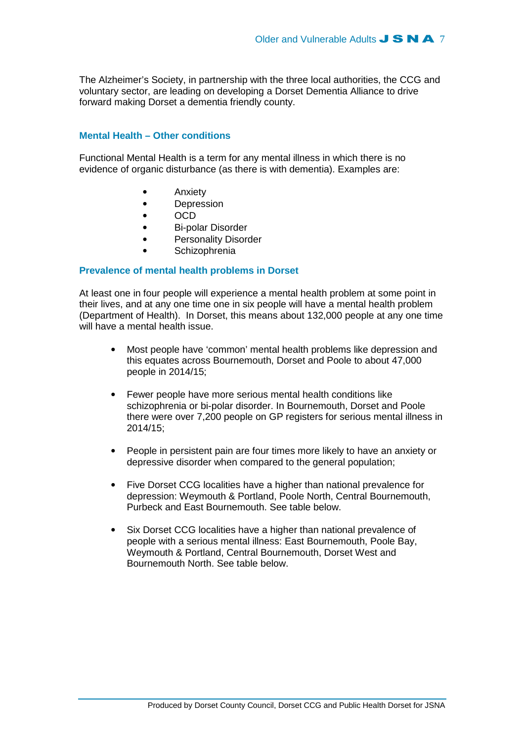The Alzheimer's Society, in partnership with the three local authorities, the CCG and voluntary sector, are leading on developing a Dorset Dementia Alliance to drive forward making Dorset a dementia friendly county.

### **Mental Health – Other conditions**

Functional Mental Health is a term for any mental illness in which there is no evidence of organic disturbance (as there is with dementia). Examples are:

- Anxiety
- Depression
- OCD
- Bi-polar Disorder
- Personality Disorder
- **Schizophrenia**

### **Prevalence of mental health problems in Dorset**

At least one in four people will experience a mental health problem at some point in their lives, and at any one time one in six people will have a mental health problem (Department of Health). In Dorset, this means about 132,000 people at any one time will have a mental health issue.

- Most people have 'common' mental health problems like depression and this equates across Bournemouth, Dorset and Poole to about 47,000 people in 2014/15;
- Fewer people have more serious mental health conditions like schizophrenia or bi-polar disorder. In Bournemouth, Dorset and Poole there were over 7,200 people on GP registers for serious mental illness in 2014/15;
- People in persistent pain are four times more likely to have an anxiety or depressive disorder when compared to the general population;
- Five Dorset CCG localities have a higher than national prevalence for depression: Weymouth & Portland, Poole North, Central Bournemouth, Purbeck and East Bournemouth. See table below.
- Six Dorset CCG localities have a higher than national prevalence of people with a serious mental illness: East Bournemouth, Poole Bay, Weymouth & Portland, Central Bournemouth, Dorset West and Bournemouth North. See table below.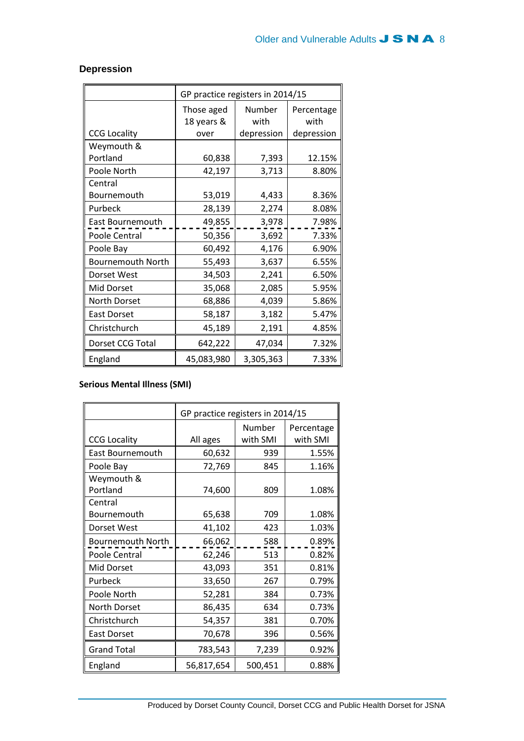|                          | GP practice registers in 2014/15 |            |            |
|--------------------------|----------------------------------|------------|------------|
|                          | Those aged                       | Number     | Percentage |
|                          | 18 years &                       | with       | with       |
| <b>CCG Locality</b>      | over                             | depression | depression |
| Weymouth &               |                                  |            |            |
| Portland                 | 60,838                           | 7,393      | 12.15%     |
| Poole North              | 42,197                           | 3,713      | 8.80%      |
| Central                  |                                  |            |            |
| Bournemouth              | 53,019                           | 4,433      | 8.36%      |
| Purbeck                  | 28,139                           | 2,274      | 8.08%      |
| East Bournemouth         | 49,855                           | 3,978      | 7.98%      |
| Poole Central            | 50,356                           | 3,692      | 7.33%      |
| Poole Bay                | 60,492                           | 4,176      | 6.90%      |
| <b>Bournemouth North</b> | 55,493                           | 3,637      | 6.55%      |
| Dorset West              | 34,503                           | 2,241      | 6.50%      |
| Mid Dorset               | 35,068                           | 2,085      | 5.95%      |
| North Dorset             | 68,886                           | 4,039      | 5.86%      |
| <b>East Dorset</b>       | 58,187                           | 3,182      | 5.47%      |
| Christchurch             | 45,189                           | 2,191      | 4.85%      |
| Dorset CCG Total         | 642,222                          | 47,034     | 7.32%      |
| England                  | 45,083,980                       | 3,305,363  | 7.33%      |

# **Depression**

# Serious Mental Illness (SMI)

|                     | GP practice registers in 2014/15 |          |            |  |
|---------------------|----------------------------------|----------|------------|--|
|                     |                                  | Number   | Percentage |  |
| <b>CCG Locality</b> | All ages                         | with SMI | with SMI   |  |
| East Bournemouth    | 60,632                           | 939      | 1.55%      |  |
| Poole Bay           | 72,769                           | 845      | 1.16%      |  |
| Weymouth &          |                                  |          |            |  |
| Portland            | 74,600                           | 809      | 1.08%      |  |
| Central             |                                  |          |            |  |
| Bournemouth         | 65,638                           | 709      | 1.08%      |  |
| Dorset West         | 41,102                           | 423      | 1.03%      |  |
| Bournemouth North   | 66,062                           | 588      | 0.89%      |  |
| Poole Central       | 62,246                           | 513      | 0.82%      |  |
| Mid Dorset          | 43,093                           | 351      | 0.81%      |  |
| Purbeck             | 33,650                           | 267      | 0.79%      |  |
| Poole North         | 52,281                           | 384      | 0.73%      |  |
| North Dorset        | 86,435                           | 634      | 0.73%      |  |
| Christchurch        | 54,357                           | 381      | 0.70%      |  |
| <b>East Dorset</b>  | 70,678                           | 396      | 0.56%      |  |
| <b>Grand Total</b>  | 783,543                          | 7,239    | 0.92%      |  |
| England             | 56,817,654                       | 500,451  | 0.88%      |  |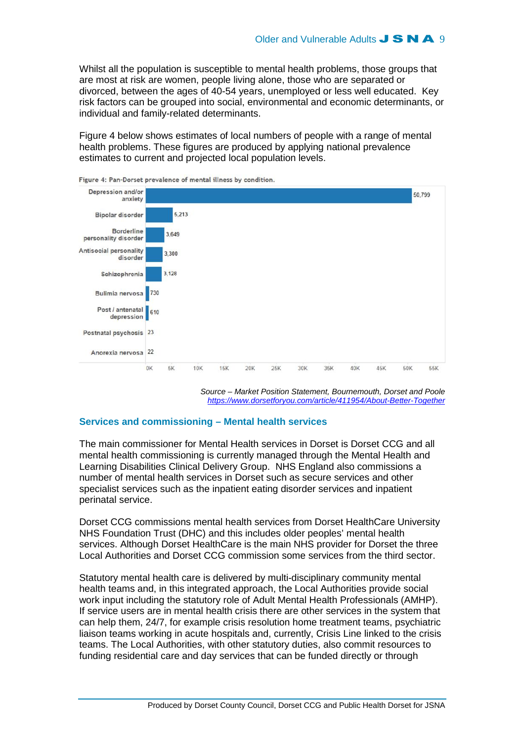Whilst all the population is susceptible to mental health problems, those groups that are most at risk are women, people living alone, those who are separated or divorced, between the ages of 40-54 years, unemployed or less well educated. Key risk factors can be grouped into social, environmental and economic determinants, or individual and family-related determinants.

Figure 4 below shows estimates of local numbers of people with a range of mental health problems. These figures are produced by applying national prevalence estimates to current and projected local population levels.



Figure 4: Pan-Dorset prevalence of mental illness by condition.

Source – Market Position Statement, Bournemouth, Dorset and Poole https://www.dorsetforyou.com/article/411954/About-Better-Together

### **Services and commissioning – Mental health services**

The main commissioner for Mental Health services in Dorset is Dorset CCG and all mental health commissioning is currently managed through the Mental Health and Learning Disabilities Clinical Delivery Group. NHS England also commissions a number of mental health services in Dorset such as secure services and other specialist services such as the inpatient eating disorder services and inpatient perinatal service.

Dorset CCG commissions mental health services from Dorset HealthCare University NHS Foundation Trust (DHC) and this includes older peoples' mental health services. Although Dorset HealthCare is the main NHS provider for Dorset the three Local Authorities and Dorset CCG commission some services from the third sector.

Statutory mental health care is delivered by multi-disciplinary community mental health teams and, in this integrated approach, the Local Authorities provide social work input including the statutory role of Adult Mental Health Professionals (AMHP). If service users are in mental health crisis there are other services in the system that can help them, 24/7, for example crisis resolution home treatment teams, psychiatric liaison teams working in acute hospitals and, currently, Crisis Line linked to the crisis teams. The Local Authorities, with other statutory duties, also commit resources to funding residential care and day services that can be funded directly or through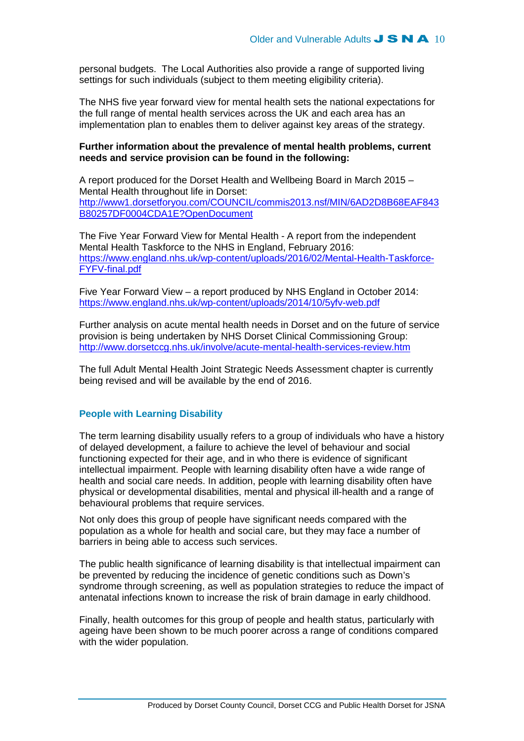personal budgets. The Local Authorities also provide a range of supported living settings for such individuals (subject to them meeting eligibility criteria).

The NHS five year forward view for mental health sets the national expectations for the full range of mental health services across the UK and each area has an implementation plan to enables them to deliver against key areas of the strategy.

### **Further information about the prevalence of mental health problems, current needs and service provision can be found in the following:**

A report produced for the Dorset Health and Wellbeing Board in March 2015 – Mental Health throughout life in Dorset: http://www1.dorsetforyou.com/COUNCIL/commis2013.nsf/MIN/6AD2D8B68EAF843 B80257DF0004CDA1E?OpenDocument

The Five Year Forward View for Mental Health - A report from the independent Mental Health Taskforce to the NHS in England, February 2016: https://www.england.nhs.uk/wp-content/uploads/2016/02/Mental-Health-Taskforce-FYFV-final.pdf

Five Year Forward View – a report produced by NHS England in October 2014: https://www.england.nhs.uk/wp-content/uploads/2014/10/5yfv-web.pdf

Further analysis on acute mental health needs in Dorset and on the future of service provision is being undertaken by NHS Dorset Clinical Commissioning Group: http://www.dorsetccg.nhs.uk/involve/acute-mental-health-services-review.htm

The full Adult Mental Health Joint Strategic Needs Assessment chapter is currently being revised and will be available by the end of 2016.

## **People with Learning Disability**

The term learning disability usually refers to a group of individuals who have a history of delayed development, a failure to achieve the level of behaviour and social functioning expected for their age, and in who there is evidence of significant intellectual impairment. People with learning disability often have a wide range of health and social care needs. In addition, people with learning disability often have physical or developmental disabilities, mental and physical ill-health and a range of behavioural problems that require services.

Not only does this group of people have significant needs compared with the population as a whole for health and social care, but they may face a number of barriers in being able to access such services.

The public health significance of learning disability is that intellectual impairment can be prevented by reducing the incidence of genetic conditions such as Down's syndrome through screening, as well as population strategies to reduce the impact of antenatal infections known to increase the risk of brain damage in early childhood.

Finally, health outcomes for this group of people and health status, particularly with ageing have been shown to be much poorer across a range of conditions compared with the wider population.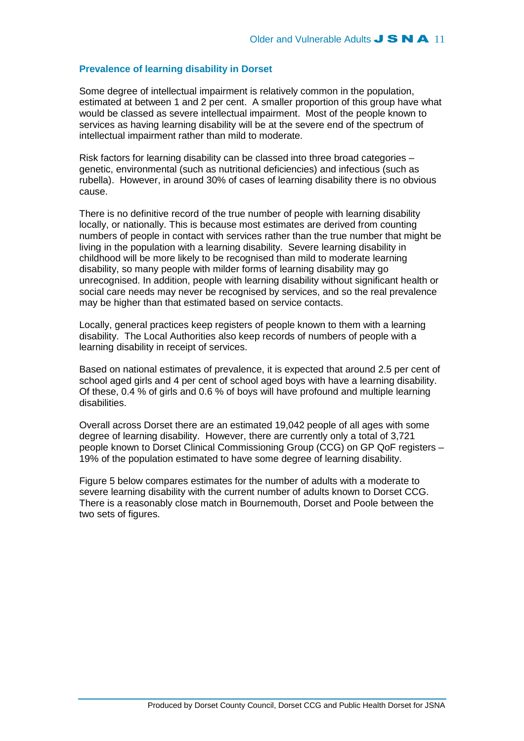## **Prevalence of learning disability in Dorset**

Some degree of intellectual impairment is relatively common in the population, estimated at between 1 and 2 per cent. A smaller proportion of this group have what would be classed as severe intellectual impairment. Most of the people known to services as having learning disability will be at the severe end of the spectrum of intellectual impairment rather than mild to moderate.

Risk factors for learning disability can be classed into three broad categories – genetic, environmental (such as nutritional deficiencies) and infectious (such as rubella). However, in around 30% of cases of learning disability there is no obvious cause.

There is no definitive record of the true number of people with learning disability locally, or nationally. This is because most estimates are derived from counting numbers of people in contact with services rather than the true number that might be living in the population with a learning disability. Severe learning disability in childhood will be more likely to be recognised than mild to moderate learning disability, so many people with milder forms of learning disability may go unrecognised. In addition, people with learning disability without significant health or social care needs may never be recognised by services, and so the real prevalence may be higher than that estimated based on service contacts.

Locally, general practices keep registers of people known to them with a learning disability. The Local Authorities also keep records of numbers of people with a learning disability in receipt of services.

Based on national estimates of prevalence, it is expected that around 2.5 per cent of school aged girls and 4 per cent of school aged boys with have a learning disability. Of these, 0.4 % of girls and 0.6 % of boys will have profound and multiple learning disabilities.

Overall across Dorset there are an estimated 19,042 people of all ages with some degree of learning disability. However, there are currently only a total of 3,721 people known to Dorset Clinical Commissioning Group (CCG) on GP QoF registers – 19% of the population estimated to have some degree of learning disability.

Figure 5 below compares estimates for the number of adults with a moderate to severe learning disability with the current number of adults known to Dorset CCG. There is a reasonably close match in Bournemouth, Dorset and Poole between the two sets of figures.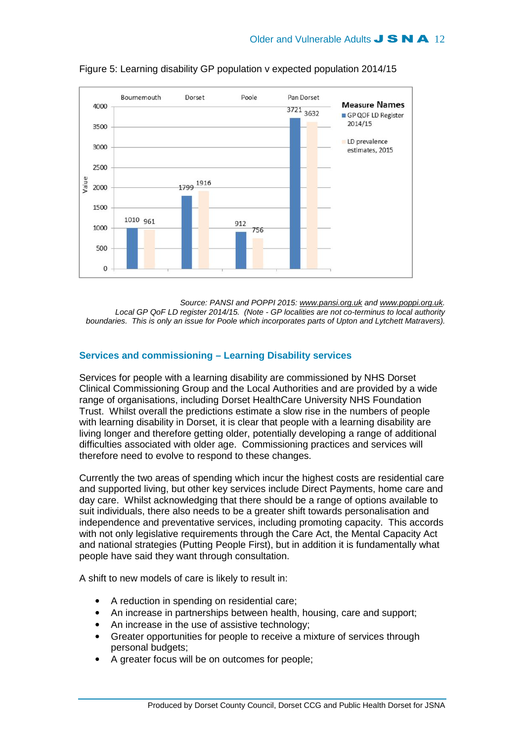

Figure 5: Learning disability GP population v expected population 2014/15

Source: PANSI and POPPI 2015: www.pansi.org.uk and www.poppi.org.uk. Local GP QoF LD register 2014/15. (Note - GP localities are not co-terminus to local authority boundaries. This is only an issue for Poole which incorporates parts of Upton and Lytchett Matravers).

## **Services and commissioning – Learning Disability services**

Services for people with a learning disability are commissioned by NHS Dorset Clinical Commissioning Group and the Local Authorities and are provided by a wide range of organisations, including Dorset HealthCare University NHS Foundation Trust. Whilst overall the predictions estimate a slow rise in the numbers of people with learning disability in Dorset, it is clear that people with a learning disability are living longer and therefore getting older, potentially developing a range of additional difficulties associated with older age. Commissioning practices and services will therefore need to evolve to respond to these changes.

Currently the two areas of spending which incur the highest costs are residential care and supported living, but other key services include Direct Payments, home care and day care. Whilst acknowledging that there should be a range of options available to suit individuals, there also needs to be a greater shift towards personalisation and independence and preventative services, including promoting capacity. This accords with not only legislative requirements through the Care Act, the Mental Capacity Act and national strategies (Putting People First), but in addition it is fundamentally what people have said they want through consultation.

A shift to new models of care is likely to result in:

- A reduction in spending on residential care;
- An increase in partnerships between health, housing, care and support;
- An increase in the use of assistive technology:
- Greater opportunities for people to receive a mixture of services through personal budgets;
- A greater focus will be on outcomes for people;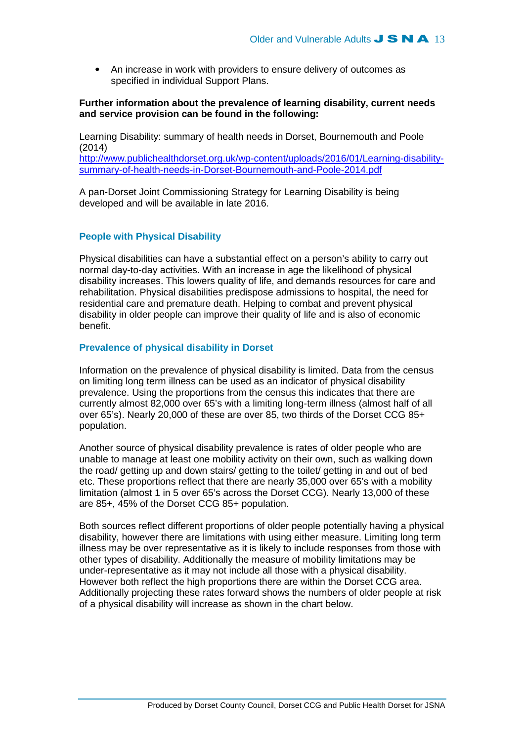• An increase in work with providers to ensure delivery of outcomes as specified in individual Support Plans.

## **Further information about the prevalence of learning disability, current needs and service provision can be found in the following:**

Learning Disability: summary of health needs in Dorset, Bournemouth and Poole (2014)

http://www.publichealthdorset.org.uk/wp-content/uploads/2016/01/Learning-disabilitysummary-of-health-needs-in-Dorset-Bournemouth-and-Poole-2014.pdf

A pan-Dorset Joint Commissioning Strategy for Learning Disability is being developed and will be available in late 2016.

## **People with Physical Disability**

Physical disabilities can have a substantial effect on a person's ability to carry out normal day-to-day activities. With an increase in age the likelihood of physical disability increases. This lowers quality of life, and demands resources for care and rehabilitation. Physical disabilities predispose admissions to hospital, the need for residential care and premature death. Helping to combat and prevent physical disability in older people can improve their quality of life and is also of economic benefit.

## **Prevalence of physical disability in Dorset**

Information on the prevalence of physical disability is limited. Data from the census on limiting long term illness can be used as an indicator of physical disability prevalence. Using the proportions from the census this indicates that there are currently almost 82,000 over 65's with a limiting long-term illness (almost half of all over 65's). Nearly 20,000 of these are over 85, two thirds of the Dorset CCG 85+ population.

Another source of physical disability prevalence is rates of older people who are unable to manage at least one mobility activity on their own, such as walking down the road/ getting up and down stairs/ getting to the toilet/ getting in and out of bed etc. These proportions reflect that there are nearly 35,000 over 65's with a mobility limitation (almost 1 in 5 over 65's across the Dorset CCG). Nearly 13,000 of these are 85+, 45% of the Dorset CCG 85+ population.

Both sources reflect different proportions of older people potentially having a physical disability, however there are limitations with using either measure. Limiting long term illness may be over representative as it is likely to include responses from those with other types of disability. Additionally the measure of mobility limitations may be under-representative as it may not include all those with a physical disability. However both reflect the high proportions there are within the Dorset CCG area. Additionally projecting these rates forward shows the numbers of older people at risk of a physical disability will increase as shown in the chart below.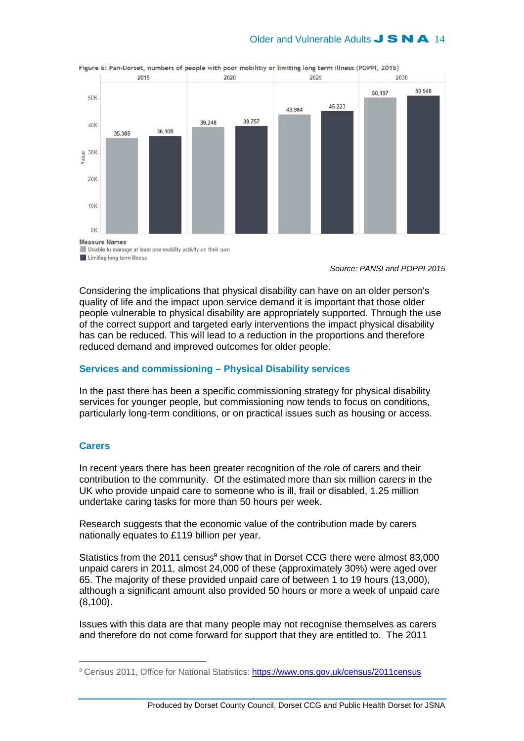# Older and Vulnerable Adults **J S N A** 14



Figure 6: Pan-Dorset, numbers of people with poor mobilitiy or limiting long term illness (POPPI, 2015)

Unable to manage at least one mobility activity on their own Limiting long term illness

Source: PANSI and POPPI 2015

Considering the implications that physical disability can have on an older person's quality of life and the impact upon service demand it is important that those older people vulnerable to physical disability are appropriately supported. Through the use of the correct support and targeted early interventions the impact physical disability has can be reduced. This will lead to a reduction in the proportions and therefore reduced demand and improved outcomes for older people.

### **Services and commissioning – Physical Disability services**

In the past there has been a specific commissioning strategy for physical disability services for younger people, but commissioning now tends to focus on conditions, particularly long-term conditions, or on practical issues such as housing or access.

## **Carers**

 $\overline{a}$ 

In recent years there has been greater recognition of the role of carers and their contribution to the community. Of the estimated more than six million carers in the UK who provide unpaid care to someone who is ill, frail or disabled, 1.25 million undertake caring tasks for more than 50 hours per week.

Research suggests that the economic value of the contribution made by carers nationally equates to £119 billion per year.

Statistics from the 2011 census $9$  show that in Dorset CCG there were almost 83,000 unpaid carers in 2011, almost 24,000 of these (approximately 30%) were aged over 65. The majority of these provided unpaid care of between 1 to 19 hours (13,000), although a significant amount also provided 50 hours or more a week of unpaid care (8,100).

Issues with this data are that many people may not recognise themselves as carers and therefore do not come forward for support that they are entitled to. The 2011

<sup>9</sup> Census 2011, Office for National Statistics: https://www.ons.gov.uk/census/2011census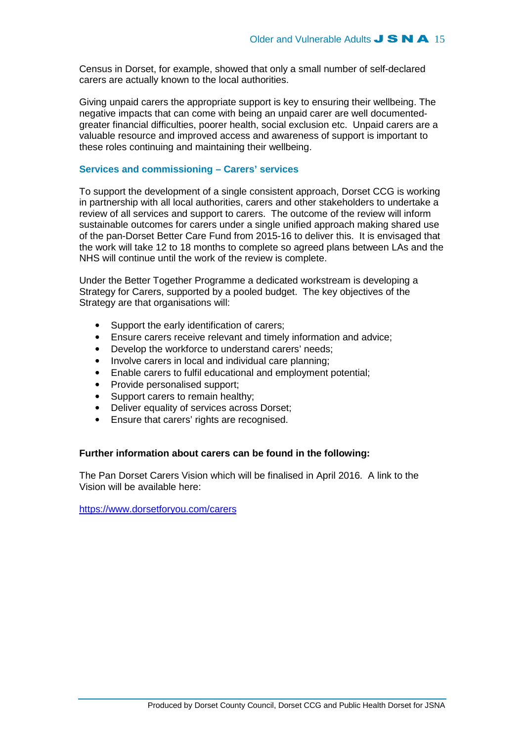Census in Dorset, for example, showed that only a small number of self-declared carers are actually known to the local authorities.

Giving unpaid carers the appropriate support is key to ensuring their wellbeing. The negative impacts that can come with being an unpaid carer are well documentedgreater financial difficulties, poorer health, social exclusion etc. Unpaid carers are a valuable resource and improved access and awareness of support is important to these roles continuing and maintaining their wellbeing.

# **Services and commissioning – Carers' services**

To support the development of a single consistent approach, Dorset CCG is working in partnership with all local authorities, carers and other stakeholders to undertake a review of all services and support to carers. The outcome of the review will inform sustainable outcomes for carers under a single unified approach making shared use of the pan-Dorset Better Care Fund from 2015-16 to deliver this. It is envisaged that the work will take 12 to 18 months to complete so agreed plans between LAs and the NHS will continue until the work of the review is complete.

Under the Better Together Programme a dedicated workstream is developing a Strategy for Carers, supported by a pooled budget. The key objectives of the Strategy are that organisations will:

- Support the early identification of carers;
- Ensure carers receive relevant and timely information and advice;
- Develop the workforce to understand carers' needs;
- Involve carers in local and individual care planning;
- Enable carers to fulfil educational and employment potential;
- Provide personalised support;
- Support carers to remain healthy;
- Deliver equality of services across Dorset;
- Ensure that carers' rights are recognised.

## **Further information about carers can be found in the following:**

The Pan Dorset Carers Vision which will be finalised in April 2016. A link to the Vision will be available here:

https://www.dorsetforyou.com/carers